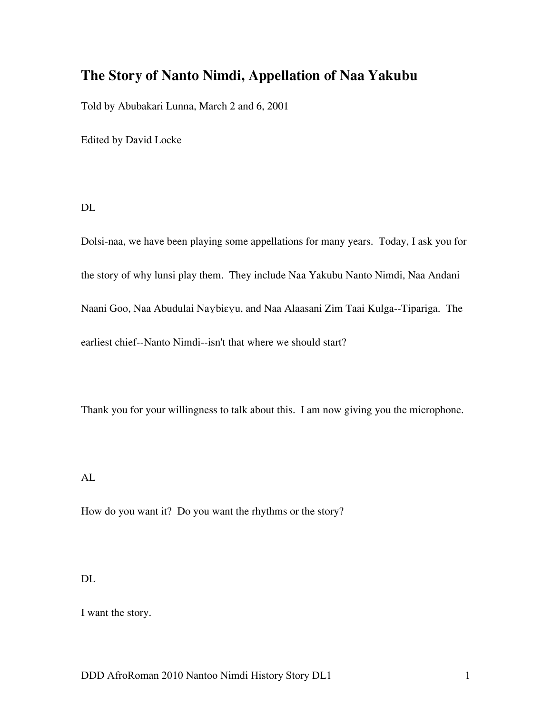# **The Story of Nanto Nimdi, Appellation of Naa Yakubu**

Told by Abubakari Lunna, March 2 and 6, 2001

Edited by David Locke

DL

Dolsi-naa, we have been playing some appellations for many years. Today, I ask you for the story of why lunsi play them. They include Naa Yakubu Nanto Nimdi, Naa Andani Naani Goo, Naa Abudulai Naɣbiɛɣu, and Naa Alaasani Zim Taai Kulga--Tipariga. The earliest chief--Nanto Nimdi--isn't that where we should start?

Thank you for your willingness to talk about this. I am now giving you the microphone.

AL

How do you want it? Do you want the rhythms or the story?

DL

I want the story.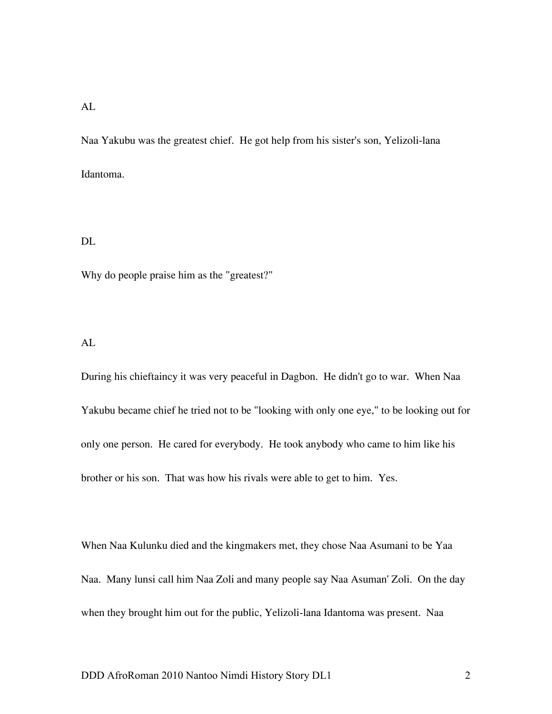Naa Yakubu was the greatest chief. He got help from his sister's son, Yelizoli-lana Idantoma.

#### DL

Why do people praise him as the "greatest?"

### AL

During his chieftaincy it was very peaceful in Dagbon. He didn't go to war. When Naa Yakubu became chief he tried not to be "looking with only one eye," to be looking out for only one person. He cared for everybody. He took anybody who came to him like his brother or his son. That was how his rivals were able to get to him. Yes.

When Naa Kulunku died and the kingmakers met, they chose Naa Asumani to be Yaa Naa. Many lunsi call him Naa Zoli and many people say Naa Asuman' Zoli. On the day when they brought him out for the public, Yelizoli-lana Idantoma was present. Naa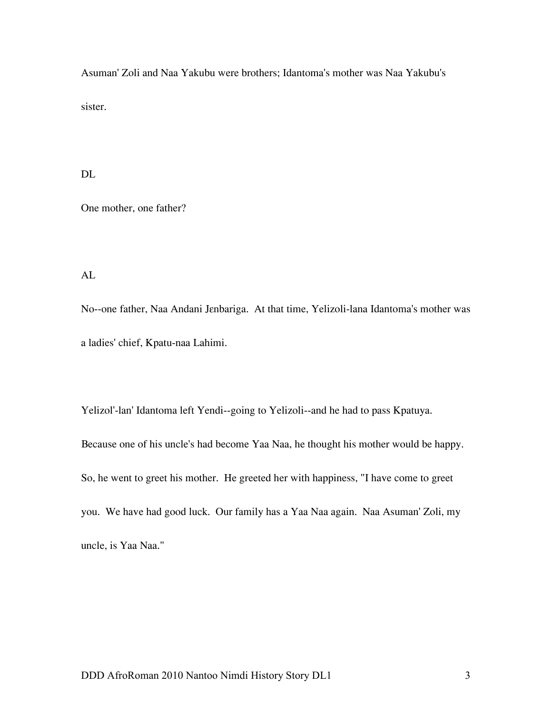Asuman' Zoli and Naa Yakubu were brothers; Idantoma's mother was Naa Yakubu's sister.

DL

One mother, one father?

AL

No--one father, Naa Andani Jɛnbariga. At that time, Yelizoli-lana Idantoma's mother was a ladies' chief, Kpatu-naa Lahimi.

Yelizol'-lan' Idantoma left Yendi--going to Yelizoli--and he had to pass Kpatuya. Because one of his uncle's had become Yaa Naa, he thought his mother would be happy. So, he went to greet his mother. He greeted her with happiness, "I have come to greet you. We have had good luck. Our family has a Yaa Naa again. Naa Asuman' Zoli, my uncle, is Yaa Naa."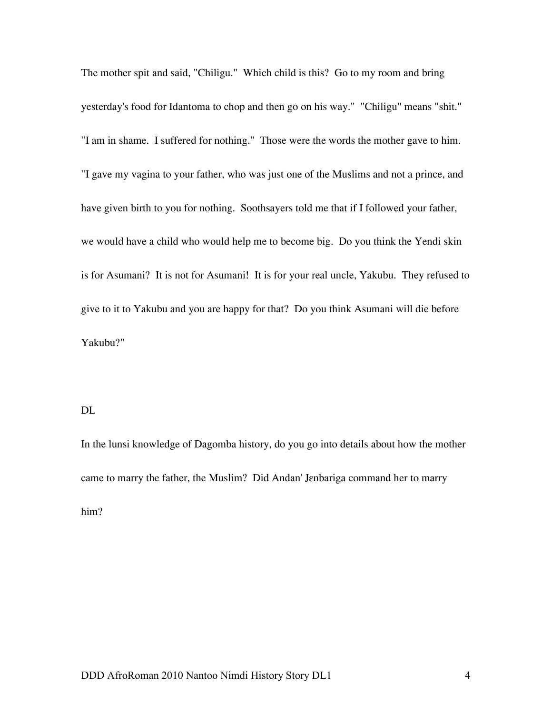The mother spit and said, "Chiligu." Which child is this? Go to my room and bring yesterday's food for Idantoma to chop and then go on his way." "Chiligu" means "shit." "I am in shame. I suffered for nothing." Those were the words the mother gave to him. "I gave my vagina to your father, who was just one of the Muslims and not a prince, and have given birth to you for nothing. Soothsayers told me that if I followed your father, we would have a child who would help me to become big. Do you think the Yendi skin is for Asumani? It is not for Asumani! It is for your real uncle, Yakubu. They refused to give to it to Yakubu and you are happy for that? Do you think Asumani will die before Yakubu?"

#### DL

In the lunsi knowledge of Dagomba history, do you go into details about how the mother came to marry the father, the Muslim? Did Andan' Jɛnbariga command her to marry him?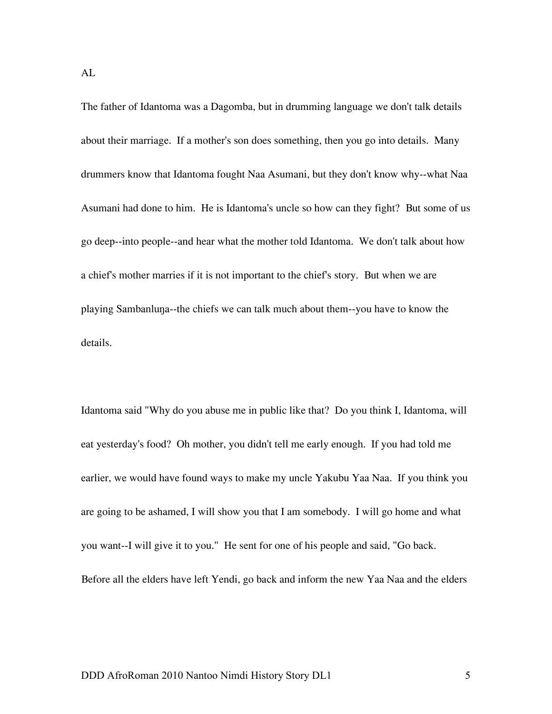The father of Idantoma was a Dagomba, but in drumming language we don't talk details about their marriage. If a mother's son does something, then you go into details. Many drummers know that Idantoma fought Naa Asumani, but they don't know why--what Naa Asumani had done to him. He is Idantoma's uncle so how can they fight? But some of us go deep--into people--and hear what the mother told Idantoma. We don't talk about how a chief's mother marries if it is not important to the chief's story. But when we are playing Sambanluŋa--the chiefs we can talk much about them--you have to know the details.

Idantoma said "Why do you abuse me in public like that? Do you think I, Idantoma, will eat yesterday's food? Oh mother, you didn't tell me early enough. If you had told me earlier, we would have found ways to make my uncle Yakubu Yaa Naa. If you think you are going to be ashamed, I will show you that I am somebody. I will go home and what you want--I will give it to you." He sent for one of his people and said, "Go back. Before all the elders have left Yendi, go back and inform the new Yaa Naa and the elders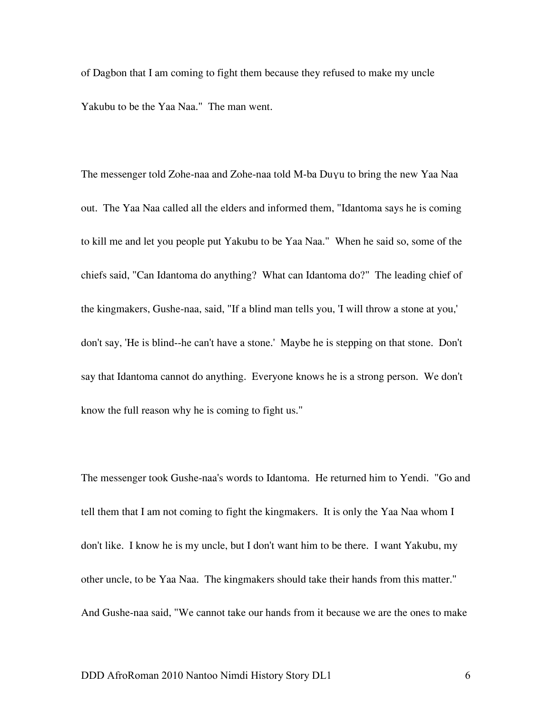of Dagbon that I am coming to fight them because they refused to make my uncle Yakubu to be the Yaa Naa." The man went.

The messenger told Zohe-naa and Zohe-naa told M-ba Duɣu to bring the new Yaa Naa out. The Yaa Naa called all the elders and informed them, "Idantoma says he is coming to kill me and let you people put Yakubu to be Yaa Naa." When he said so, some of the chiefs said, "Can Idantoma do anything? What can Idantoma do?" The leading chief of the kingmakers, Gushe-naa, said, "If a blind man tells you, 'I will throw a stone at you,' don't say, 'He is blind--he can't have a stone.' Maybe he is stepping on that stone. Don't say that Idantoma cannot do anything. Everyone knows he is a strong person. We don't know the full reason why he is coming to fight us."

The messenger took Gushe-naa's words to Idantoma. He returned him to Yendi. "Go and tell them that I am not coming to fight the kingmakers. It is only the Yaa Naa whom I don't like. I know he is my uncle, but I don't want him to be there. I want Yakubu, my other uncle, to be Yaa Naa. The kingmakers should take their hands from this matter." And Gushe-naa said, "We cannot take our hands from it because we are the ones to make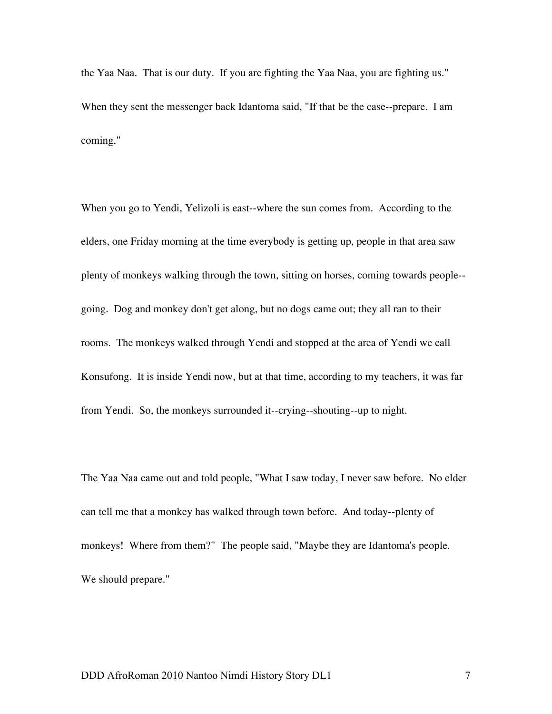the Yaa Naa. That is our duty. If you are fighting the Yaa Naa, you are fighting us." When they sent the messenger back Idantoma said, "If that be the case--prepare. I am coming."

When you go to Yendi, Yelizoli is east--where the sun comes from. According to the elders, one Friday morning at the time everybody is getting up, people in that area saw plenty of monkeys walking through the town, sitting on horses, coming towards people- going. Dog and monkey don't get along, but no dogs came out; they all ran to their rooms. The monkeys walked through Yendi and stopped at the area of Yendi we call Konsufong. It is inside Yendi now, but at that time, according to my teachers, it was far from Yendi. So, the monkeys surrounded it--crying--shouting--up to night.

The Yaa Naa came out and told people, "What I saw today, I never saw before. No elder can tell me that a monkey has walked through town before. And today--plenty of monkeys! Where from them?" The people said, "Maybe they are Idantoma's people. We should prepare."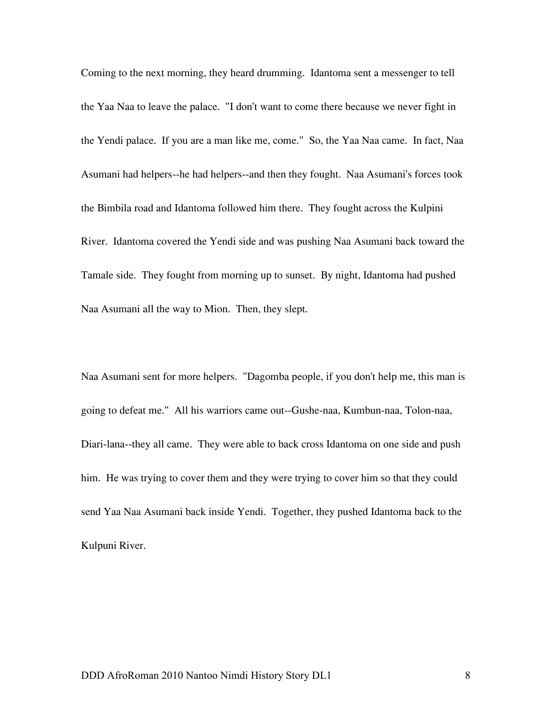Coming to the next morning, they heard drumming. Idantoma sent a messenger to tell the Yaa Naa to leave the palace. "I don't want to come there because we never fight in the Yendi palace. If you are a man like me, come." So, the Yaa Naa came. In fact, Naa Asumani had helpers--he had helpers--and then they fought. Naa Asumani's forces took the Bimbila road and Idantoma followed him there. They fought across the Kulpini River. Idantoma covered the Yendi side and was pushing Naa Asumani back toward the Tamale side. They fought from morning up to sunset. By night, Idantoma had pushed Naa Asumani all the way to Mion. Then, they slept.

Naa Asumani sent for more helpers. "Dagomba people, if you don't help me, this man is going to defeat me." All his warriors came out--Gushe-naa, Kumbun-naa, Tolon-naa, Diari-lana--they all came. They were able to back cross Idantoma on one side and push him. He was trying to cover them and they were trying to cover him so that they could send Yaa Naa Asumani back inside Yendi. Together, they pushed Idantoma back to the Kulpuni River.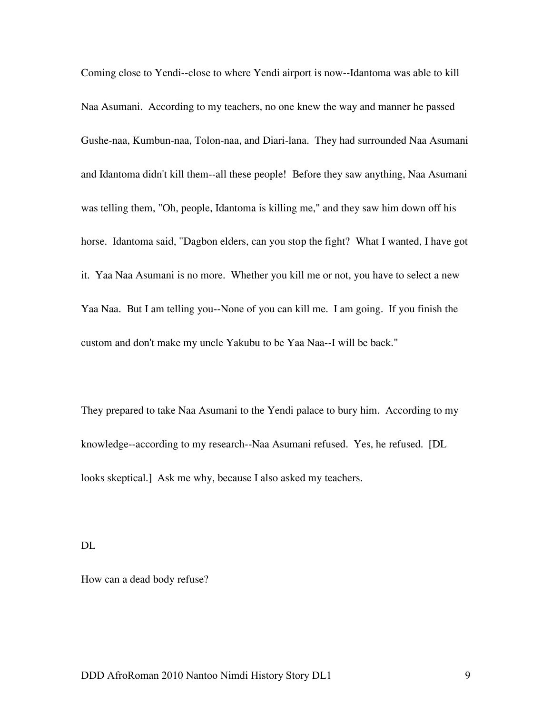Coming close to Yendi--close to where Yendi airport is now--Idantoma was able to kill Naa Asumani. According to my teachers, no one knew the way and manner he passed Gushe-naa, Kumbun-naa, Tolon-naa, and Diari-lana. They had surrounded Naa Asumani and Idantoma didn't kill them--all these people! Before they saw anything, Naa Asumani was telling them, "Oh, people, Idantoma is killing me," and they saw him down off his horse. Idantoma said, "Dagbon elders, can you stop the fight? What I wanted, I have got it. Yaa Naa Asumani is no more. Whether you kill me or not, you have to select a new Yaa Naa. But I am telling you--None of you can kill me. I am going. If you finish the custom and don't make my uncle Yakubu to be Yaa Naa--I will be back."

They prepared to take Naa Asumani to the Yendi palace to bury him. According to my knowledge--according to my research--Naa Asumani refused. Yes, he refused. [DL looks skeptical.] Ask me why, because I also asked my teachers.

DL

How can a dead body refuse?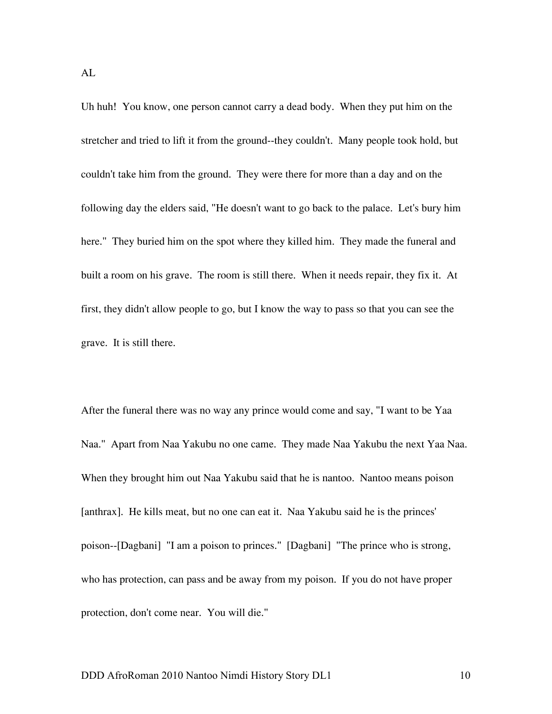Uh huh! You know, one person cannot carry a dead body. When they put him on the stretcher and tried to lift it from the ground--they couldn't. Many people took hold, but couldn't take him from the ground. They were there for more than a day and on the following day the elders said, "He doesn't want to go back to the palace. Let's bury him here." They buried him on the spot where they killed him. They made the funeral and built a room on his grave. The room is still there. When it needs repair, they fix it. At first, they didn't allow people to go, but I know the way to pass so that you can see the grave. It is still there.

After the funeral there was no way any prince would come and say, "I want to be Yaa Naa." Apart from Naa Yakubu no one came. They made Naa Yakubu the next Yaa Naa. When they brought him out Naa Yakubu said that he is nantoo. Nantoo means poison [anthrax]. He kills meat, but no one can eat it. Naa Yakubu said he is the princes' poison--[Dagbani] "I am a poison to princes." [Dagbani] "The prince who is strong, who has protection, can pass and be away from my poison. If you do not have proper protection, don't come near. You will die."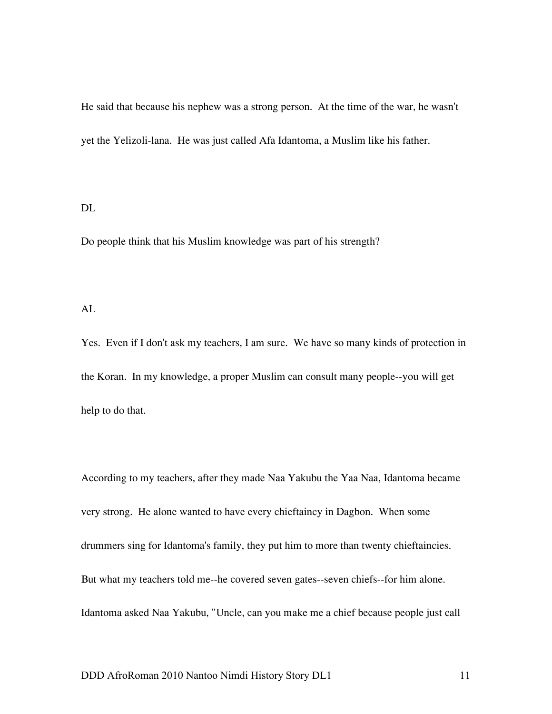He said that because his nephew was a strong person. At the time of the war, he wasn't yet the Yelizoli-lana. He was just called Afa Idantoma, a Muslim like his father.

#### DL

Do people think that his Muslim knowledge was part of his strength?

#### AL

Yes. Even if I don't ask my teachers, I am sure. We have so many kinds of protection in the Koran. In my knowledge, a proper Muslim can consult many people--you will get help to do that.

According to my teachers, after they made Naa Yakubu the Yaa Naa, Idantoma became very strong. He alone wanted to have every chieftaincy in Dagbon. When some drummers sing for Idantoma's family, they put him to more than twenty chieftaincies. But what my teachers told me--he covered seven gates--seven chiefs--for him alone. Idantoma asked Naa Yakubu, "Uncle, can you make me a chief because people just call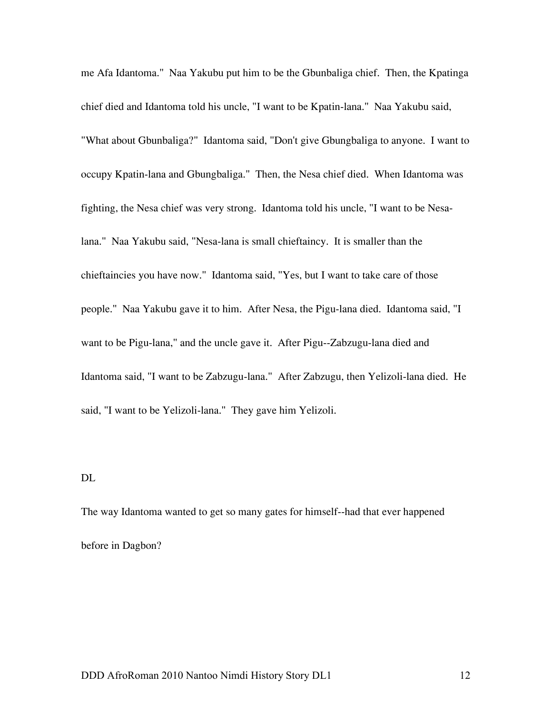me Afa Idantoma." Naa Yakubu put him to be the Gbunbaliga chief. Then, the Kpatinga chief died and Idantoma told his uncle, "I want to be Kpatin-lana." Naa Yakubu said, "What about Gbunbaliga?" Idantoma said, "Don't give Gbungbaliga to anyone. I want to occupy Kpatin-lana and Gbungbaliga." Then, the Nesa chief died. When Idantoma was fighting, the Nesa chief was very strong. Idantoma told his uncle, "I want to be Nesalana." Naa Yakubu said, "Nesa-lana is small chieftaincy. It is smaller than the chieftaincies you have now." Idantoma said, "Yes, but I want to take care of those people." Naa Yakubu gave it to him. After Nesa, the Pigu-lana died. Idantoma said, "I want to be Pigu-lana," and the uncle gave it. After Pigu--Zabzugu-lana died and Idantoma said, "I want to be Zabzugu-lana." After Zabzugu, then Yelizoli-lana died. He said, "I want to be Yelizoli-lana." They gave him Yelizoli.

### DL

The way Idantoma wanted to get so many gates for himself--had that ever happened before in Dagbon?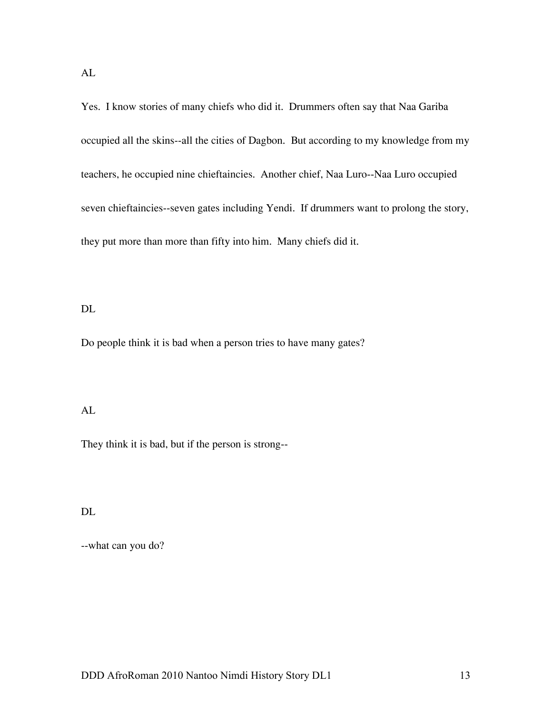Yes. I know stories of many chiefs who did it. Drummers often say that Naa Gariba occupied all the skins--all the cities of Dagbon. But according to my knowledge from my teachers, he occupied nine chieftaincies. Another chief, Naa Luro--Naa Luro occupied seven chieftaincies--seven gates including Yendi. If drummers want to prolong the story, they put more than more than fifty into him. Many chiefs did it.

DL

Do people think it is bad when a person tries to have many gates?

AL

They think it is bad, but if the person is strong--

DL

--what can you do?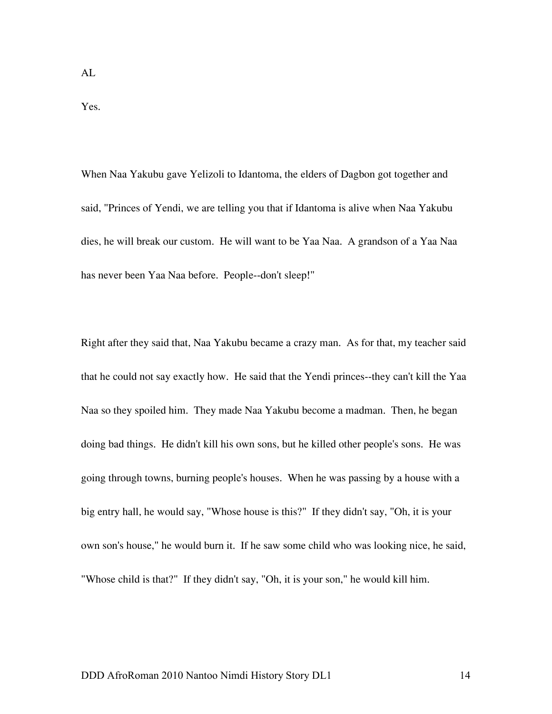Yes.

When Naa Yakubu gave Yelizoli to Idantoma, the elders of Dagbon got together and said, "Princes of Yendi, we are telling you that if Idantoma is alive when Naa Yakubu dies, he will break our custom. He will want to be Yaa Naa. A grandson of a Yaa Naa has never been Yaa Naa before. People--don't sleep!"

Right after they said that, Naa Yakubu became a crazy man. As for that, my teacher said that he could not say exactly how. He said that the Yendi princes--they can't kill the Yaa Naa so they spoiled him. They made Naa Yakubu become a madman. Then, he began doing bad things. He didn't kill his own sons, but he killed other people's sons. He was going through towns, burning people's houses. When he was passing by a house with a big entry hall, he would say, "Whose house is this?" If they didn't say, "Oh, it is your own son's house," he would burn it. If he saw some child who was looking nice, he said, "Whose child is that?" If they didn't say, "Oh, it is your son," he would kill him.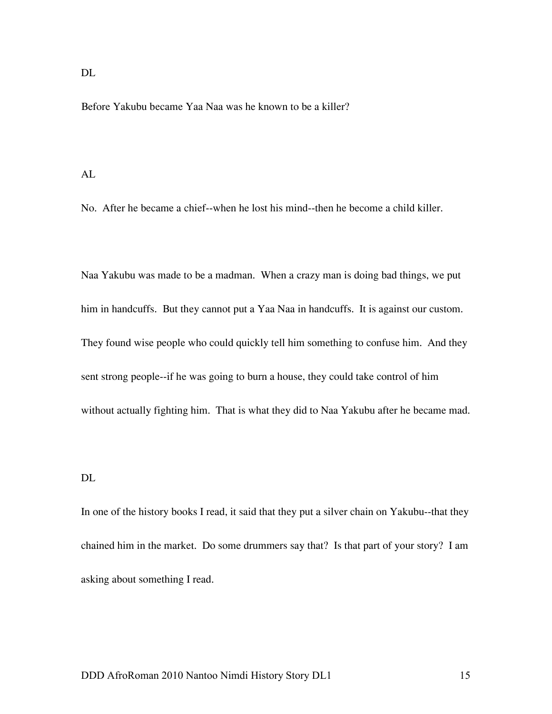DL

Before Yakubu became Yaa Naa was he known to be a killer?

#### AL

No. After he became a chief--when he lost his mind--then he become a child killer.

Naa Yakubu was made to be a madman. When a crazy man is doing bad things, we put him in handcuffs. But they cannot put a Yaa Naa in handcuffs. It is against our custom. They found wise people who could quickly tell him something to confuse him. And they sent strong people--if he was going to burn a house, they could take control of him without actually fighting him. That is what they did to Naa Yakubu after he became mad.

### DL

In one of the history books I read, it said that they put a silver chain on Yakubu--that they chained him in the market. Do some drummers say that? Is that part of your story? I am asking about something I read.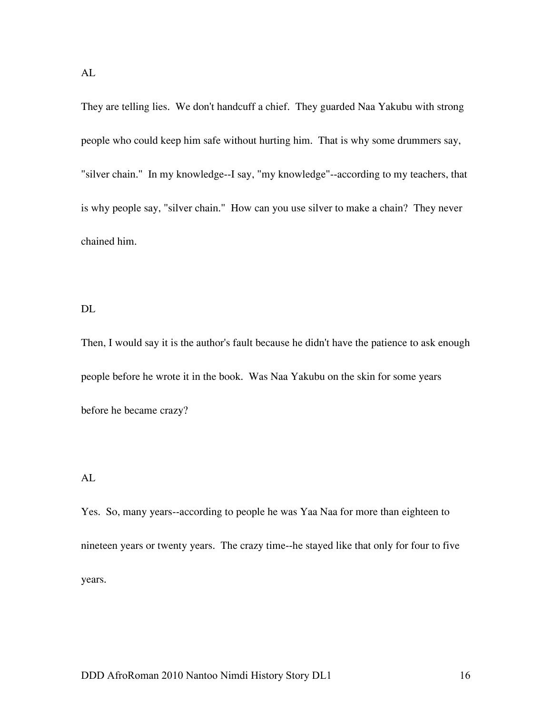They are telling lies. We don't handcuff a chief. They guarded Naa Yakubu with strong people who could keep him safe without hurting him. That is why some drummers say, "silver chain." In my knowledge--I say, "my knowledge"--according to my teachers, that is why people say, "silver chain." How can you use silver to make a chain? They never chained him.

#### DL

Then, I would say it is the author's fault because he didn't have the patience to ask enough people before he wrote it in the book. Was Naa Yakubu on the skin for some years before he became crazy?

#### AL

Yes. So, many years--according to people he was Yaa Naa for more than eighteen to nineteen years or twenty years. The crazy time--he stayed like that only for four to five years.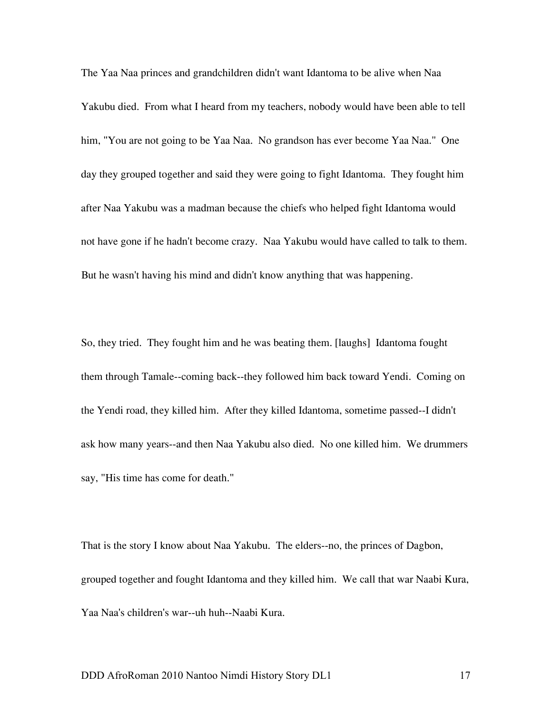The Yaa Naa princes and grandchildren didn't want Idantoma to be alive when Naa Yakubu died. From what I heard from my teachers, nobody would have been able to tell him, "You are not going to be Yaa Naa. No grandson has ever become Yaa Naa." One day they grouped together and said they were going to fight Idantoma. They fought him after Naa Yakubu was a madman because the chiefs who helped fight Idantoma would not have gone if he hadn't become crazy. Naa Yakubu would have called to talk to them. But he wasn't having his mind and didn't know anything that was happening.

So, they tried. They fought him and he was beating them. [laughs] Idantoma fought them through Tamale--coming back--they followed him back toward Yendi. Coming on the Yendi road, they killed him. After they killed Idantoma, sometime passed--I didn't ask how many years--and then Naa Yakubu also died. No one killed him. We drummers say, "His time has come for death."

That is the story I know about Naa Yakubu. The elders--no, the princes of Dagbon, grouped together and fought Idantoma and they killed him. We call that war Naabi Kura, Yaa Naa's children's war--uh huh--Naabi Kura.